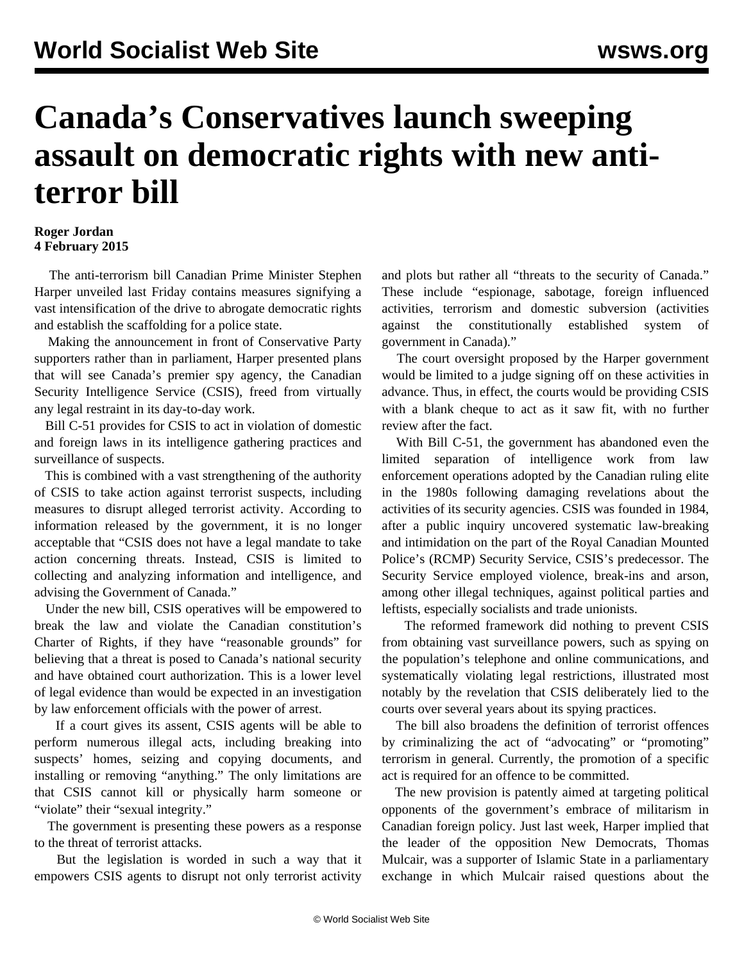## **Canada's Conservatives launch sweeping assault on democratic rights with new antiterror bill**

## **Roger Jordan 4 February 2015**

 The anti-terrorism bill Canadian Prime Minister Stephen Harper unveiled last Friday contains measures signifying a vast intensification of the drive to abrogate democratic rights and establish the scaffolding for a police state.

 Making the announcement in front of Conservative Party supporters rather than in parliament, Harper presented plans that will see Canada's premier spy agency, the Canadian Security Intelligence Service (CSIS), freed from virtually any legal restraint in its day-to-day work.

 Bill C-51 provides for CSIS to act in violation of domestic and foreign laws in its intelligence gathering practices and surveillance of suspects.

 This is combined with a vast strengthening of the authority of CSIS to take action against terrorist suspects, including measures to disrupt alleged terrorist activity. According to information released by the government, it is no longer acceptable that "CSIS does not have a legal mandate to take action concerning threats. Instead, CSIS is limited to collecting and analyzing information and intelligence, and advising the Government of Canada."

 Under the new bill, CSIS operatives will be empowered to break the law and violate the Canadian constitution's Charter of Rights, if they have "reasonable grounds" for believing that a threat is posed to Canada's national security and have obtained court authorization. This is a lower level of legal evidence than would be expected in an investigation by law enforcement officials with the power of arrest.

 If a court gives its assent, CSIS agents will be able to perform numerous illegal acts, including breaking into suspects' homes, seizing and copying documents, and installing or removing "anything." The only limitations are that CSIS cannot kill or physically harm someone or "violate" their "sexual integrity."

 The government is presenting these powers as a response to the threat of terrorist attacks.

 But the legislation is worded in such a way that it empowers CSIS agents to disrupt not only terrorist activity and plots but rather all "threats to the security of Canada." These include "espionage, sabotage, foreign influenced activities, terrorism and domestic subversion (activities against the constitutionally established system of government in Canada)."

 The court oversight proposed by the Harper government would be limited to a judge signing off on these activities in advance. Thus, in effect, the courts would be providing CSIS with a blank cheque to act as it saw fit, with no further review after the fact.

 With Bill C-51, the government has abandoned even the limited separation of intelligence work from law enforcement operations adopted by the Canadian ruling elite in the 1980s following damaging revelations about the activities of its security agencies. CSIS was founded in 1984, after a public inquiry uncovered systematic law-breaking and intimidation on the part of the Royal Canadian Mounted Police's (RCMP) Security Service, CSIS's predecessor. The Security Service employed violence, break-ins and arson, among other illegal techniques, against political parties and leftists, especially socialists and trade unionists.

 The reformed framework did nothing to prevent CSIS from obtaining vast surveillance powers, such as spying on the population's telephone and online communications, and systematically violating legal restrictions, illustrated most notably by the revelation that CSIS deliberately [lied to the](/en/articles/2014/01/18/cana-j18.html) [courts](/en/articles/2014/01/18/cana-j18.html) over several years about its spying practices.

 The bill also broadens the definition of terrorist offences by criminalizing the act of "advocating" or "promoting" terrorism in general. Currently, the promotion of a specific act is required for an offence to be committed.

 The new provision is patently aimed at targeting political opponents of the government's embrace of militarism in Canadian foreign policy. Just last week, Harper implied that the leader of the opposition New Democrats, Thomas Mulcair, was a supporter of Islamic State in a parliamentary exchange in which Mulcair raised questions about the